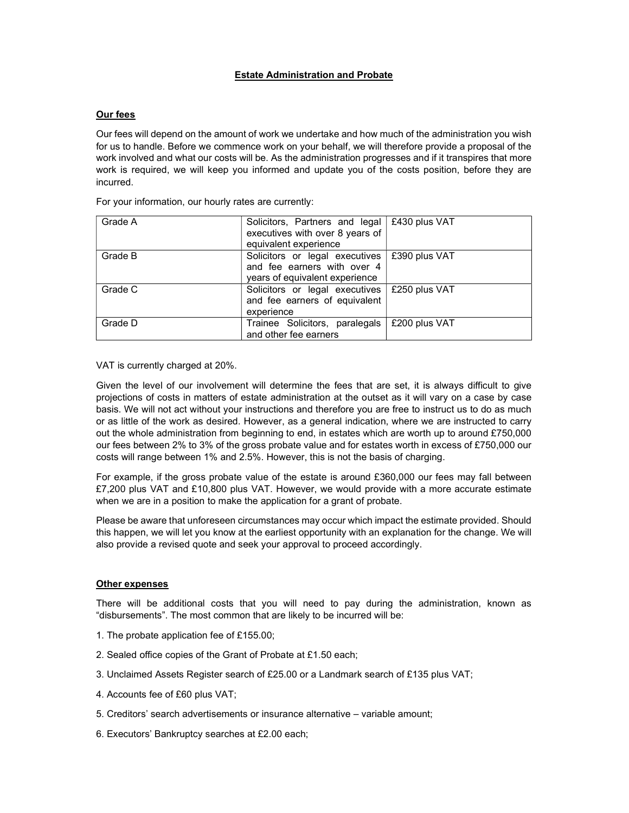## Estate Administration and Probate

## Our fees

Our fees will depend on the amount of work we undertake and how much of the administration you wish for us to handle. Before we commence work on your behalf, we will therefore provide a proposal of the work involved and what our costs will be. As the administration progresses and if it transpires that more work is required, we will keep you informed and update you of the costs position, before they are incurred.

| Grade A | Solicitors, Partners and legal   £430 plus VAT<br>executives with over 8 years of<br>equivalent experience |               |
|---------|------------------------------------------------------------------------------------------------------------|---------------|
| Grade B | Solicitors or legal executives<br>and fee earners with over 4<br>years of equivalent experience            | £390 plus VAT |
| Grade C | Solicitors or legal executives<br>and fee earners of equivalent<br>experience                              | £250 plus VAT |
| Grade D | Trainee Solicitors, paralegals<br>and other fee earners                                                    | £200 plus VAT |

For your information, our hourly rates are currently:

VAT is currently charged at 20%.

Given the level of our involvement will determine the fees that are set, it is always difficult to give projections of costs in matters of estate administration at the outset as it will vary on a case by case basis. We will not act without your instructions and therefore you are free to instruct us to do as much or as little of the work as desired. However, as a general indication, where we are instructed to carry out the whole administration from beginning to end, in estates which are worth up to around £750,000 our fees between 2% to 3% of the gross probate value and for estates worth in excess of £750,000 our costs will range between 1% and 2.5%. However, this is not the basis of charging.

For example, if the gross probate value of the estate is around £360,000 our fees may fall between £7,200 plus VAT and £10,800 plus VAT. However, we would provide with a more accurate estimate when we are in a position to make the application for a grant of probate.

Please be aware that unforeseen circumstances may occur which impact the estimate provided. Should this happen, we will let you know at the earliest opportunity with an explanation for the change. We will also provide a revised quote and seek your approval to proceed accordingly.

## Other expenses

There will be additional costs that you will need to pay during the administration, known as "disbursements". The most common that are likely to be incurred will be:

- 1. The probate application fee of £155.00;
- 2. Sealed office copies of the Grant of Probate at £1.50 each;
- 3. Unclaimed Assets Register search of £25.00 or a Landmark search of £135 plus VAT;
- 4. Accounts fee of £60 plus VAT;
- 5. Creditors' search advertisements or insurance alternative variable amount;
- 6. Executors' Bankruptcy searches at £2.00 each;